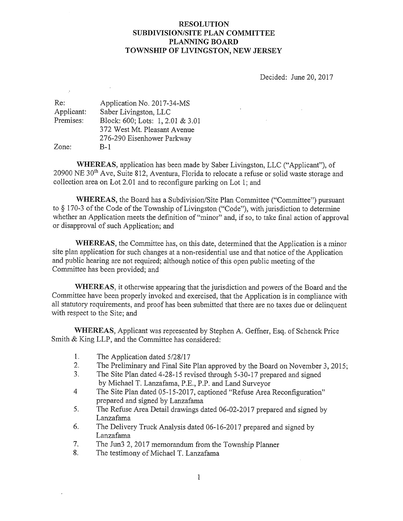## RESOLUTION SUBDIVISION/SITE PLAN COMMITTEE PLANNING BOARD TOWNSHIP OF LIVINGSTON, NEW JERSEY

Decided: June 20, 2017

 $\hat{A}$ 

| Re:        | Application No. 2017-34-MS       |
|------------|----------------------------------|
| Applicant: | Saber Livingston, LLC            |
| Premises:  | Block: 600; Lots: 1, 2.01 & 3.01 |
|            | 372 West Mt. Pleasant Avenue     |
|            | 276-290 Eisenhower Parkway       |
| Zone:      | B-1                              |

 $\mathcal{I}$ 

WHEREAS, application has been made by Saber Livingston, LLC ("Applicant"), of 20900 NE 30<sup>th</sup> Ave, Suite 812, Aventura, Florida to relocate a refuse or solid waste storage and collection area on Lot 2.01 and to reconfigure parking on Lot 1; and

WHEREAS, the Board has a Subdivision/Site Plan Committee ("Committee") pursuant to § 170-3 of the Code of the Township of Livingston ("Code"), with jurisdiction to determine whether an Application meets the definition of "minor" and, if so, to take final action of approval or disapproval of such Application; and

WHEREAS, the Committee has, on this date, determined that the Application is a minor site plan application for such changes at a non-residential use and that notice of the Application and public hearing are not required; although notice of this open public meeting of the Committee has been provided; and

WHEREAS, it otherwise appearing that the jurisdiction and powers of the Board and the Committee have been properly invoked and exercised, that the Application is in compliance with all statutory requirements, and proof has been submitted that there are no taxes due or delinquent with respect to the Site; and

WHEREAS, Applicant was represented by Stephen A. Geffner, Esq. of Schenck Price Smith & King LLP, and the Committee has considered:

- 1. The Application dated 5/28/17
- 2. The Preliminary and Final Site Plan approved by the Board on November 3, 2015;
- 3. The Site Plan dated 4-28-15 revised through 5-30-17 prepared and signed by Michael T. Lanzafama, P.E., P.P. and Land Surveyor
- 4 The Site Plan dated 05-15-20 17, captioned "Refuse Area Reconfiguration" prepared and signed by Lanzafama
- 5. The Refuse Area Detail drawings dated 06-02-20 17 prepared and signed by Lanzafama
- 6. The Delivery Truck Analysis dated 06-16-2017 prepared and signed by Lanzafama
- 7. The Jun3 2, 2017 memorandum from the Township Planner
- 8. The testimony of Michael T. Lanzafama